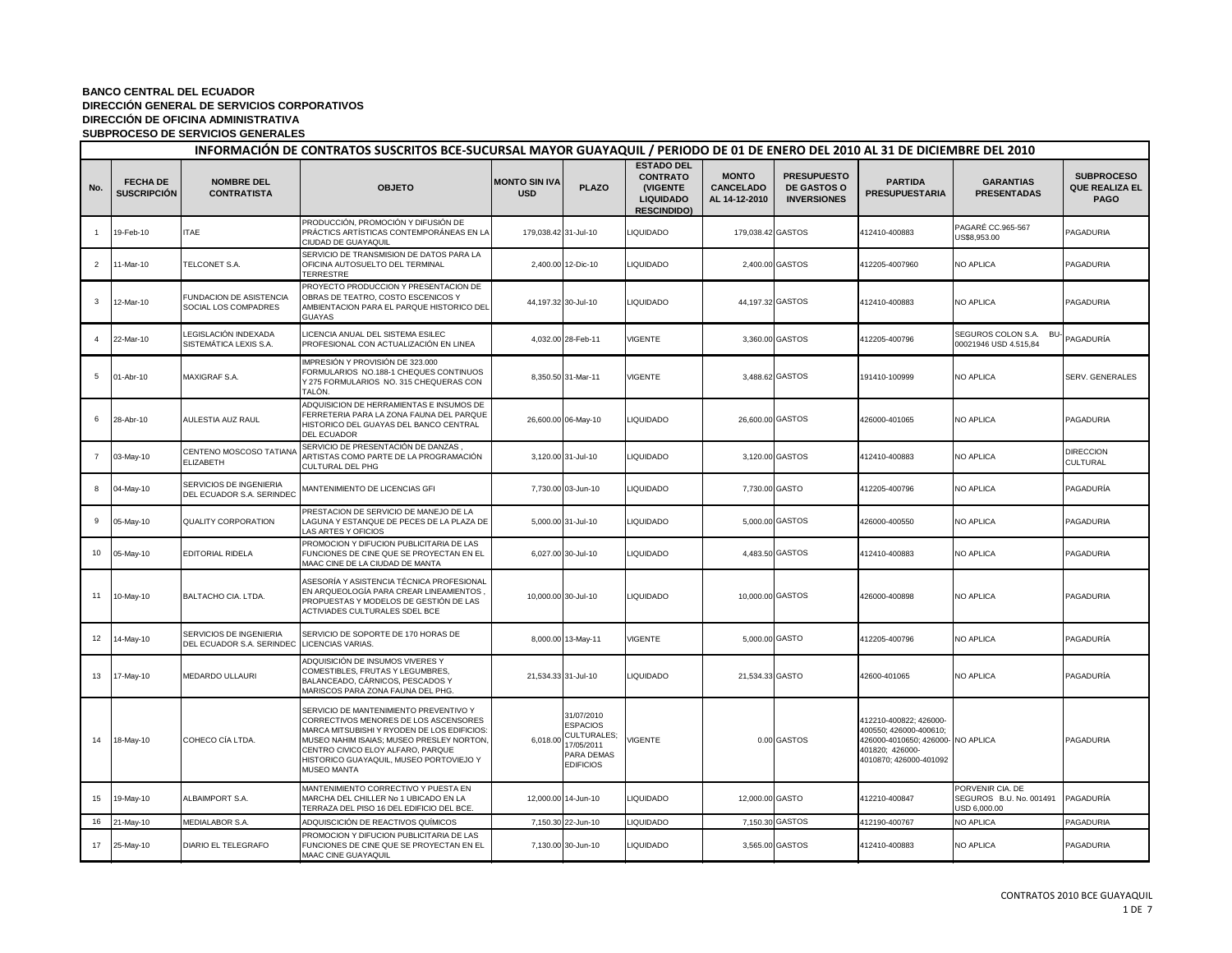|                 | INFORMACIÓN DE CONTRATOS SUSCRITOS BCE-SUCURSAL MAYOR GUAYAQUIL / PERIODO DE 01 DE ENERO DEL 2010 AL 31 DE DICIEMBRE DEL 2010 |                                                      |                                                                                                                                                                                                                                                                                  |                                    |                                                                                              |                                                                                            |                                                   |                                                                |                                                                                                                                    |                                                             |                                                           |  |
|-----------------|-------------------------------------------------------------------------------------------------------------------------------|------------------------------------------------------|----------------------------------------------------------------------------------------------------------------------------------------------------------------------------------------------------------------------------------------------------------------------------------|------------------------------------|----------------------------------------------------------------------------------------------|--------------------------------------------------------------------------------------------|---------------------------------------------------|----------------------------------------------------------------|------------------------------------------------------------------------------------------------------------------------------------|-------------------------------------------------------------|-----------------------------------------------------------|--|
| No.             | <b>FECHA DE</b><br><b>SUSCRIPCIÓN</b>                                                                                         | <b>NOMBRE DEL</b><br><b>CONTRATISTA</b>              | <b>OBJETO</b>                                                                                                                                                                                                                                                                    | <b>MONTO SIN IVA</b><br><b>USD</b> | <b>PLAZO</b>                                                                                 | <b>ESTADO DEL</b><br><b>CONTRATO</b><br>(VIGENTE<br><b>LIQUIDADO</b><br><b>RESCINDIDO)</b> | <b>MONTO</b><br><b>CANCELADO</b><br>AL 14-12-2010 | <b>PRESUPUESTO</b><br><b>DE GASTOS O</b><br><b>INVERSIONES</b> | <b>PARTIDA</b><br><b>PRESUPUESTARIA</b>                                                                                            | <b>GARANTIAS</b><br><b>PRESENTADAS</b>                      | <b>SUBPROCESO</b><br><b>QUE REALIZA EL</b><br><b>PAGO</b> |  |
|                 | 19-Feb-10                                                                                                                     | <b>ITAE</b>                                          | PRODUCCIÓN, PROMOCIÓN Y DIFUSIÓN DE<br>PRÁCTICS ARTÍSTICAS CONTEMPORÁNEAS EN LA<br>CIUDAD DE GUAYAQUIL                                                                                                                                                                           | 179,038.42 31-Jul-10               |                                                                                              | <b>IQUIDADO</b>                                                                            | 179,038.42 GASTOS                                 |                                                                | 412410-400883                                                                                                                      | PAGARÉ CC.965-567<br>US\$8,953.00                           | PAGADURIA                                                 |  |
| $\overline{2}$  | 11-Mar-10                                                                                                                     | TELCONET S.A.                                        | SERVICIO DE TRANSMISION DE DATOS PARA LA<br>OFICINA AUTOSUELTO DEL TERMINAL<br><b>TERRESTRE</b>                                                                                                                                                                                  |                                    | 2,400.00 12-Dic-10                                                                           | <b>LIQUIDADO</b>                                                                           |                                                   | 2,400.00 GASTOS                                                | 412205-4007960                                                                                                                     | NO APLICA                                                   | PAGADURIA                                                 |  |
| 3               | 12-Mar-10                                                                                                                     | FUNDACION DE ASISTENCIA<br>SOCIAL LOS COMPADRES      | PROYECTO PRODUCCION Y PRESENTACION DE<br>OBRAS DE TEATRO, COSTO ESCENICOS Y<br>AMBIENTACION PARA EL PARQUE HISTORICO DEL<br><b>GUAYAS</b>                                                                                                                                        | 44,197.32 30-Jul-10                |                                                                                              | <b>LIQUIDADO</b>                                                                           | 44,197.32 GASTOS                                  |                                                                | 412410-400883                                                                                                                      | <b>NO APLICA</b>                                            | PAGADURIA                                                 |  |
| $\Delta$        | 22-Mar-10                                                                                                                     | LEGISLACIÓN INDEXADA<br>SISTEMÁTICA LEXIS S.A.       | LICENCIA ANUAL DEL SISTEMA ESILEC<br>PROFESIONAL CON ACTUALIZACIÓN EN LINEA                                                                                                                                                                                                      |                                    | 4,032.00 28-Feb-11                                                                           | /IGENTE                                                                                    |                                                   | 3,360.00 GASTOS                                                | 412205-400796                                                                                                                      | SEGUROS COLON S.A.<br><b>BU</b><br>00021946 USD 4.515,84    | PAGADURÍA                                                 |  |
| 5               | 01-Abr-10                                                                                                                     | MAXIGRAF S.A.                                        | IMPRESIÓN Y PROVISIÓN DE 323.000<br>FORMULARIOS NO.188-1 CHEQUES CONTINUOS<br>Y 275 FORMULARIOS NO. 315 CHEQUERAS CON<br>TALÒN.                                                                                                                                                  |                                    | 8,350.50 31-Mar-11                                                                           | /IGENTE                                                                                    |                                                   | 3,488.62 GASTOS                                                | 191410-100999                                                                                                                      | NO APLICA                                                   | SERV. GENERALES                                           |  |
| 6               | 28-Abr-10                                                                                                                     | AULESTIA AUZ RAUL                                    | ADQUISICION DE HERRAMIENTAS E INSUMOS DE<br>FERRETERIA PARA LA ZONA FAUNA DEL PARQUE<br>HISTORICO DEL GUAYAS DEL BANCO CENTRAL<br><b>DEL ECUADOR</b>                                                                                                                             |                                    | 26,600.00 06-May-10                                                                          | <b>LIQUIDADO</b>                                                                           | 26,600.00 GASTOS                                  |                                                                | 426000-401065                                                                                                                      | <b>NO APLICA</b>                                            | PAGADURIA                                                 |  |
| $\overline{7}$  | 03-May-10                                                                                                                     | CENTENO MOSCOSO TATIANA<br>ELIZABETH                 | SERVICIO DE PRESENTACIÓN DE DANZAS ,<br>ARTISTAS COMO PARTE DE LA PROGRAMACIÓN<br>CULTURAL DEL PHG                                                                                                                                                                               |                                    | 3,120.00 31-Jul-10                                                                           | <b>LIQUIDADO</b>                                                                           |                                                   | 3,120.00 GASTOS                                                | 412410-400883                                                                                                                      | NO APLICA                                                   | <b>DIRECCION</b><br>CULTURAL                              |  |
| 8               | 04-May-10                                                                                                                     | SERVICIOS DE INGENIERIA<br>DEL ECUADOR S.A. SERINDEC | MANTENIMIENTO DE LICENCIAS GFI                                                                                                                                                                                                                                                   |                                    | 7,730.00 03-Jun-10                                                                           | <b>LIQUIDADO</b>                                                                           | 7,730.00 GASTO                                    |                                                                | 412205-400796                                                                                                                      | NO APLICA                                                   | PAGADURÍA                                                 |  |
| 9               | 05-May-10                                                                                                                     | <b>QUALITY CORPORATION</b>                           | PRESTACION DE SERVICIO DE MANEJO DE LA<br>LAGUNA Y ESTANQUE DE PECES DE LA PLAZA DE<br>LAS ARTES Y OFICIOS                                                                                                                                                                       |                                    | 5,000.00 31-Jul-10                                                                           | <b>LIQUIDADO</b>                                                                           |                                                   | 5,000.00 GASTOS                                                | 426000-400550                                                                                                                      | NO APLICA                                                   | PAGADURIA                                                 |  |
| 10 <sup>1</sup> | 05-May-10                                                                                                                     | EDITORIAL RIDELA                                     | PROMOCION Y DIFUCION PUBLICITARIA DE LAS<br>FUNCIONES DE CINE QUE SE PROYECTAN EN EL<br>MAAC CINE DE LA CIUDAD DE MANTA                                                                                                                                                          |                                    | 6,027.00 30-Jul-10                                                                           | <b>LIQUIDADO</b>                                                                           |                                                   | 4,483.50 GASTOS                                                | 412410-400883                                                                                                                      | NO APLICA                                                   | PAGADURIA                                                 |  |
| 11              | 10-May-10                                                                                                                     | BALTACHO CIA. LTDA.                                  | ASESORÍA Y ASISTENCIA TÉCNICA PROFESIONAL<br>EN ARQUEOLOGÍA PARA CREAR LINEAMIENTOS<br>PROPUESTAS Y MODELOS DE GESTIÓN DE LAS<br>ACTIVIADES CULTURALES SDEL BCE                                                                                                                  |                                    | 10,000.00 30-Jul-10                                                                          | <b>LIQUIDADO</b>                                                                           | 10,000.00 GASTOS                                  |                                                                | 426000-400898                                                                                                                      | <b>NO APLICA</b>                                            | PAGADURIA                                                 |  |
| 12              | 14-May-10                                                                                                                     | SERVICIOS DE INGENIERIA<br>DEL ECUADOR S.A. SERINDEC | SERVICIO DE SOPORTE DE 170 HORAS DE<br>LICENCIAS VARIAS.                                                                                                                                                                                                                         |                                    | 8,000.00 13-May-11                                                                           | VIGENTE                                                                                    | 5,000.00 GASTO                                    |                                                                | 412205-400796                                                                                                                      | NO APLICA                                                   | PAGADURÍA                                                 |  |
| 13              | 17-May-10                                                                                                                     | MEDARDO ULLAURI                                      | ADQUISICIÓN DE INSUMOS VIVERES Y<br>COMESTIBLES, FRUTAS Y LEGUMBRES,<br>BALANCEADO, CÁRNICOS, PESCADOS Y<br>MARISCOS PARA ZONA FAUNA DEL PHG.                                                                                                                                    | 21,534.33 31-Jul-10                |                                                                                              | <b>LIQUIDADO</b>                                                                           | 21,534.33 GASTO                                   |                                                                | 42600-401065                                                                                                                       | NO APLICA                                                   | PAGADURÍA                                                 |  |
| 14              | 18-May-10                                                                                                                     | COHECO CÍA LTDA.                                     | SERVICIO DE MANTENIMIENTO PREVENTIVO Y<br>CORRECTIVOS MENORES DE LOS ASCENSORES<br>MARCA MITSUBISHI Y RYODEN DE LOS EDIFICIOS:<br>MUSEO NAHIM ISAIAS; MUSEO PRESLEY NORTON<br>CENTRO CIVICO ELOY ALFARO, PARQUE<br>HISTORICO GUAYAQUIL, MUSEO PORTOVIEJO Y<br><b>MUSEO MANTA</b> | 6,018.00                           | 31/07/2010<br><b>ESPACIOS</b><br>CULTURALES;<br>17/05/2011<br>PARA DEMAS<br><b>EDIFICIOS</b> | <b>VIGENTE</b>                                                                             |                                                   | 0.00 GASTOS                                                    | 412210-400822; 426000-<br>400550; 426000-400610;<br>426000-4010650; 426000- NO APLICA<br>401820; 426000-<br>4010870; 426000-401092 |                                                             | PAGADURIA                                                 |  |
| 15              | 19-May-10                                                                                                                     | ALBAIMPORT S.A.                                      | MANTENIMIENTO CORRECTIVO Y PUESTA EN<br>MARCHA DEL CHILLER No 1 UBICADO EN LA<br>TERRAZA DEL PISO 16 DEL EDIFICIO DEL BCE.                                                                                                                                                       |                                    | 12,000.00 14-Jun-10                                                                          | <b>LIQUIDADO</b>                                                                           | 12,000.00 GASTO                                   |                                                                | 412210-400847                                                                                                                      | PORVENIR CIA. DE<br>SEGUROS B.U. No. 001491<br>USD 6,000.00 | PAGADURÍA                                                 |  |
| 16              | 21-May-10                                                                                                                     | MEDIALABOR S.A.                                      | ADQUISCICIÓN DE REACTIVOS QUÍMICOS                                                                                                                                                                                                                                               |                                    | 7,150.30 22-Jun-10                                                                           | LIQUIDADO                                                                                  |                                                   | 7,150.30 GASTOS                                                | 412190-400767                                                                                                                      | <b>NO APLICA</b>                                            | PAGADURIA                                                 |  |
| 17              | 25-May-10                                                                                                                     | DIARIO EL TELEGRAFO                                  | PROMOCION Y DIFUCION PUBLICITARIA DE LAS<br>FUNCIONES DE CINE QUE SE PROYECTAN EN EL<br>MAAC CINE GUAYAQUIL                                                                                                                                                                      |                                    | 7,130.00 30-Jun-10                                                                           | <b>LIQUIDADO</b>                                                                           |                                                   | 3,565.00 GASTOS                                                | 412410-400883                                                                                                                      | NO APLICA                                                   | PAGADURIA                                                 |  |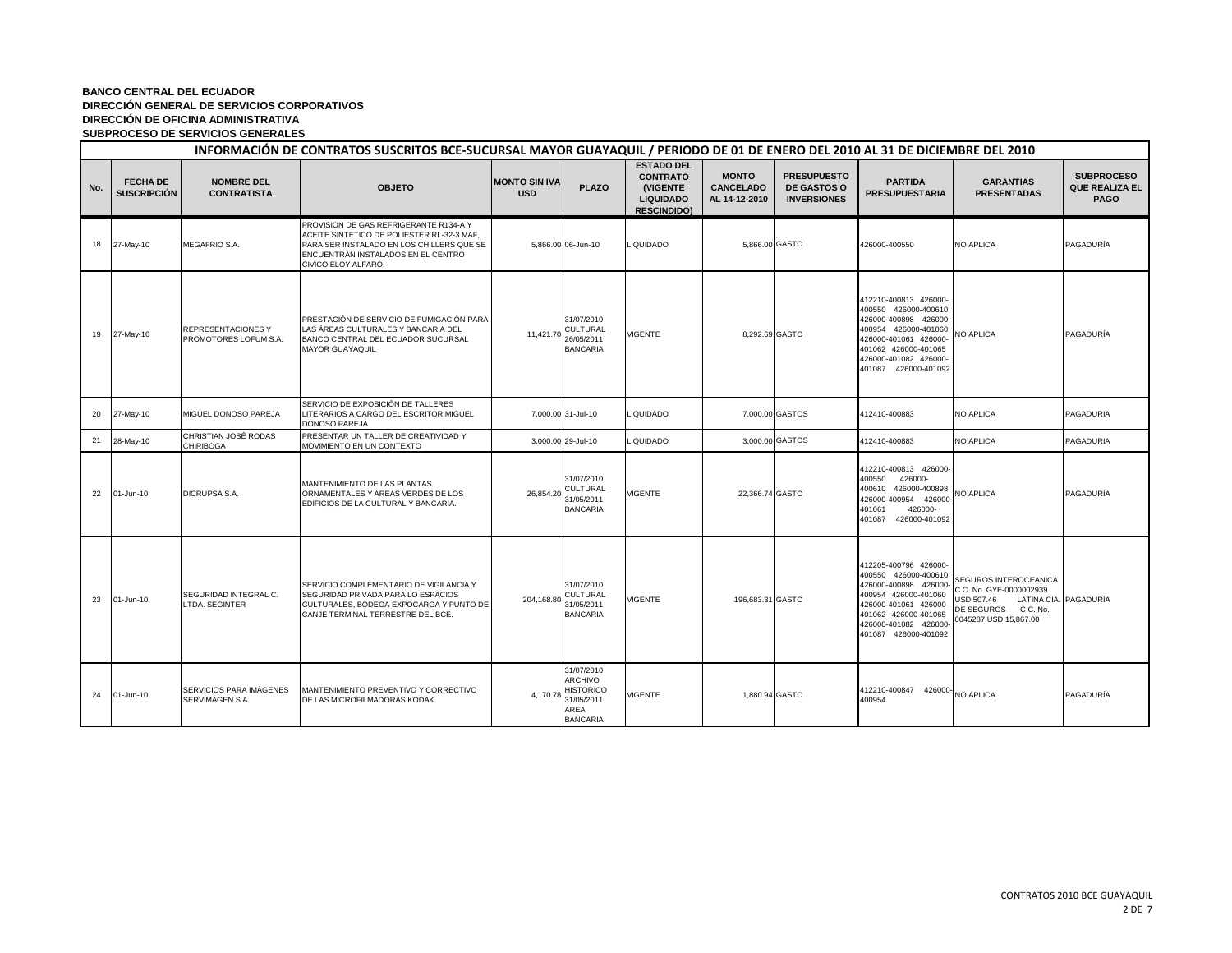|     | INFORMACIÓN DE CONTRATOS SUSCRITOS BCE-SUCURSAL MAYOR GUAYAQUIL / PERIODO DE 01 DE ENERO DEL 2010 AL 31 DE DICIEMBRE DEL 2010 |                                             |                                                                                                                                                                                                |                                    |                                                                                    |                                                                                            |                                                   |                                                                |                                                                                                                                                                                                  |                                                                                                                                         |                                                           |  |
|-----|-------------------------------------------------------------------------------------------------------------------------------|---------------------------------------------|------------------------------------------------------------------------------------------------------------------------------------------------------------------------------------------------|------------------------------------|------------------------------------------------------------------------------------|--------------------------------------------------------------------------------------------|---------------------------------------------------|----------------------------------------------------------------|--------------------------------------------------------------------------------------------------------------------------------------------------------------------------------------------------|-----------------------------------------------------------------------------------------------------------------------------------------|-----------------------------------------------------------|--|
| No. | <b>FECHA DE</b><br><b>SUSCRIPCIÓN</b>                                                                                         | <b>NOMBRE DEL</b><br><b>CONTRATISTA</b>     | <b>OBJETO</b>                                                                                                                                                                                  | <b>MONTO SIN IVA</b><br><b>USD</b> | <b>PLAZO</b>                                                                       | <b>ESTADO DEL</b><br><b>CONTRATO</b><br>(VIGENTE<br><b>LIQUIDADO</b><br><b>RESCINDIDO)</b> | <b>MONTO</b><br><b>CANCELADO</b><br>AL 14-12-2010 | <b>PRESUPUESTO</b><br><b>DE GASTOS O</b><br><b>INVERSIONES</b> | <b>PARTIDA</b><br><b>PRESUPUESTARIA</b>                                                                                                                                                          | <b>GARANTIAS</b><br><b>PRESENTADAS</b>                                                                                                  | <b>SUBPROCESO</b><br><b>QUE REALIZA EL</b><br><b>PAGO</b> |  |
| 18  | 27-May-10                                                                                                                     | <b>MEGAFRIO S.A.</b>                        | PROVISION DE GAS REFRIGERANTE R134-A Y<br>ACEITE SINTETICO DE POLIESTER RL-32-3 MAF,<br>PARA SER INSTALADO EN LOS CHILLERS QUE SE<br>ENCUENTRAN INSTALADOS EN EL CENTRO<br>CIVICO ELOY ALFARO. |                                    | 5,866.00 06-Jun-10                                                                 | <b>LIQUIDADO</b>                                                                           | 5,866.00 GASTO                                    |                                                                | 426000-400550                                                                                                                                                                                    | <b>NO APLICA</b>                                                                                                                        | PAGADURÍA                                                 |  |
| 19  | 27-May-10                                                                                                                     | REPRESENTACIONES Y<br>PROMOTORES LOFUM S.A. | PRESTACIÓN DE SERVICIO DE FUMIGACIÓN PARA<br>LAS ÁREAS CULTURALES Y BANCARIA DEL<br>BANCO CENTRAL DEL ECUADOR SUCURSAL<br><b>MAYOR GUAYAQUIL</b>                                               | 11.421.70                          | 31/07/2010<br><b>CULTURAL</b><br>26/05/2011<br><b>BANCARIA</b>                     | VIGENTE                                                                                    | 8,292.69 GASTO                                    |                                                                | 412210-400813 426000-<br>400550 426000-400610<br>426000-400898 426000-<br>400954 426000-401060<br>426000-401061 426000<br>401062 426000-401065<br>426000-401082 426000-<br>401087 426000-401092  | <b>NO APLICA</b>                                                                                                                        | PAGADURÍA                                                 |  |
| 20  | 27-May-10                                                                                                                     | MIGUEL DONOSO PAREJA                        | SERVICIO DE EXPOSICIÓN DE TALLERES<br>LITERARIOS A CARGO DEL ESCRITOR MIGUEL<br><b>DONOSO PAREJA</b>                                                                                           |                                    | 7,000.00 31-Jul-10                                                                 | <b>LIQUIDADO</b>                                                                           |                                                   | 7,000,00 GASTOS                                                | 412410-400883                                                                                                                                                                                    | <b>NO APLICA</b>                                                                                                                        | PAGADURIA                                                 |  |
| 21  | 28-May-10                                                                                                                     | CHRISTIAN JOSÉ RODAS<br><b>CHIRIBOGA</b>    | PRESENTAR UN TALLER DE CREATIVIDAD Y<br>MOVIMIENTO EN UN CONTEXTO                                                                                                                              |                                    | 3.000.00 29-Jul-10                                                                 | <b>LIQUIDADO</b>                                                                           |                                                   | 3,000,00 GASTOS                                                | 412410-400883                                                                                                                                                                                    | <b>NO APLICA</b>                                                                                                                        | PAGADURIA                                                 |  |
| 22  | 01-Jun-10                                                                                                                     | DICRUPSA S.A.                               | MANTENIMIENTO DE LAS PLANTAS<br>ORNAMENTALES Y AREAS VERDES DE LOS<br>EDIFICIOS DE LA CULTURAL Y BANCARIA.                                                                                     | 26,854.20                          | 31/07/2010<br>CULTURAL<br>31/05/2011<br><b>BANCARIA</b>                            | <b>VIGENTE</b>                                                                             | 22.366.74 GASTO                                   |                                                                | 412210-400813 426000-<br>400550 426000-<br>400610 426000-400898<br>426000-400954 426000-<br>426000-<br>401061<br>401087 426000-401092                                                            | <b>NO APLICA</b>                                                                                                                        | PAGADURÍA                                                 |  |
| 23  | 01-Jun-10                                                                                                                     | SEGURIDAD INTEGRAL C.<br>LTDA. SEGINTER     | SERVICIO COMPLEMENTARIO DE VIGILANCIA Y<br>SEGURIDAD PRIVADA PARA LO ESPACIOS<br>CULTURALES, BODEGA EXPOCARGA Y PUNTO DE<br>CANJE TERMINAL TERRESTRE DEL BCE.                                  | 204,168.80 31/05/2011              | 31/07/2010<br>CULTURAL<br><b>BANCARIA</b>                                          | <b>VIGENTE</b>                                                                             | 196,683.31 GASTO                                  |                                                                | 412205-400796 426000-<br>400550 426000-400610<br>426000-400898 426000-<br>400954 426000-401060<br>426000-401061 426000-<br>401062 426000-401065<br>426000-401082 426000-<br>401087 426000-401092 | SEGUROS INTEROCEANICA<br>C.C. No. GYE-0000002939<br>LATINA CIA. PAGADURÍA<br>USD 507.46<br>DE SEGUROS C.C. No.<br>0045287 USD 15,867.00 |                                                           |  |
| 24  | 01-Jun-10                                                                                                                     | SERVICIOS PARA IMÁGENES<br>SERVIMAGEN S.A.  | MANTENIMIENTO PREVENTIVO Y CORRECTIVO<br>DE LAS MICROFILMADORAS KODAK.                                                                                                                         | 4,170.78                           | 31/07/2010<br>ARCHIVO<br><b>HISTORICO</b><br>31/05/2011<br>AREA<br><b>BANCARIA</b> | VIGENTE                                                                                    |                                                   | 1,880.94 GASTO                                                 | 412210-400847 426000 NO APLICA<br>400954                                                                                                                                                         |                                                                                                                                         | PAGADURÍA                                                 |  |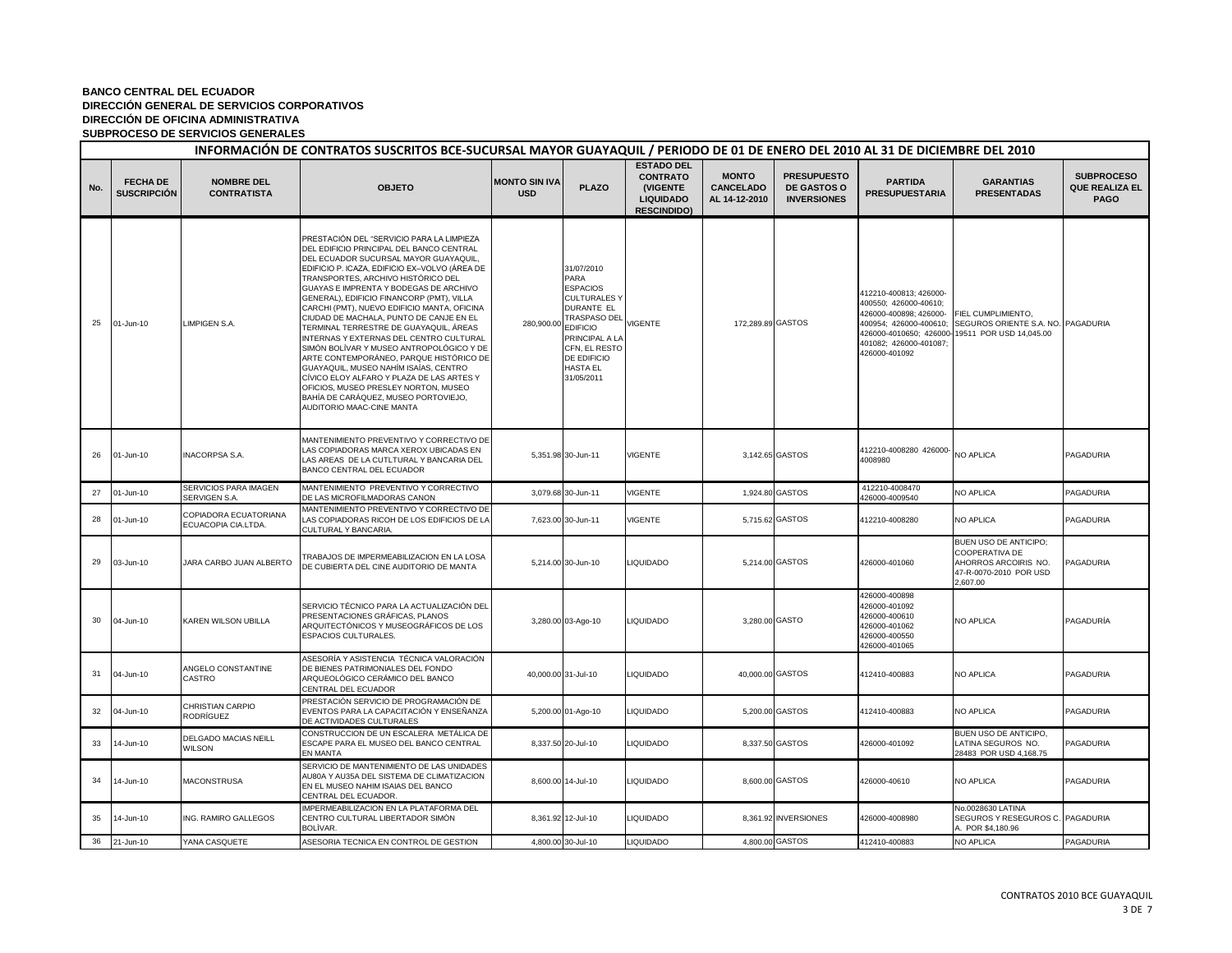|     | INFORMACIÓN DE CONTRATOS SUSCRITOS BCE-SUCURSAL MAYOR GUAYAQUIL / PERIODO DE 01 DE ENERO DEL 2010 AL 31 DE DICIEMBRE DEL 2010 |                                              |                                                                                                                                                                                                                                                                                                                                                                                                                                                                                                                                                                                                                                                                                                                                                                                       |                                    |                                                                                                                                                                                      |                                                                                            |                                                   |                                                                |                                                                                                                      |                                                                                                                                   |                                                           |  |
|-----|-------------------------------------------------------------------------------------------------------------------------------|----------------------------------------------|---------------------------------------------------------------------------------------------------------------------------------------------------------------------------------------------------------------------------------------------------------------------------------------------------------------------------------------------------------------------------------------------------------------------------------------------------------------------------------------------------------------------------------------------------------------------------------------------------------------------------------------------------------------------------------------------------------------------------------------------------------------------------------------|------------------------------------|--------------------------------------------------------------------------------------------------------------------------------------------------------------------------------------|--------------------------------------------------------------------------------------------|---------------------------------------------------|----------------------------------------------------------------|----------------------------------------------------------------------------------------------------------------------|-----------------------------------------------------------------------------------------------------------------------------------|-----------------------------------------------------------|--|
| No. | <b>FECHA DE</b><br>SUSCRIPCIÓN                                                                                                | <b>NOMBRE DEL</b><br><b>CONTRATISTA</b>      | <b>OBJETO</b>                                                                                                                                                                                                                                                                                                                                                                                                                                                                                                                                                                                                                                                                                                                                                                         | <b>MONTO SIN IVA</b><br><b>USD</b> | <b>PLAZO</b>                                                                                                                                                                         | <b>ESTADO DEL</b><br><b>CONTRATO</b><br>(VIGENTE<br><b>LIQUIDADO</b><br><b>RESCINDIDO)</b> | <b>MONTO</b><br><b>CANCELADO</b><br>AL 14-12-2010 | <b>PRESUPUESTO</b><br><b>DE GASTOS O</b><br><b>INVERSIONES</b> | <b>PARTIDA</b><br><b>PRESUPUESTARIA</b>                                                                              | <b>GARANTIAS</b><br><b>PRESENTADAS</b>                                                                                            | <b>SUBPROCESO</b><br><b>QUE REALIZA EL</b><br><b>PAGO</b> |  |
| 25  | 01-Jun-10                                                                                                                     | LIMPIGEN S.A.                                | PRESTACIÓN DEL "SERVICIO PARA LA LIMPIEZA<br>DEL EDIFICIO PRINCIPAL DEL BANCO CENTRAL<br>DEL ECUADOR SUCURSAL MAYOR GUAYAQUIL,<br>EDIFICIO P. ICAZA, EDIFICIO EX-VOLVO (ÁREA DE<br>TRANSPORTES, ARCHIVO HISTÓRICO DEL<br>GUAYAS E IMPRENTA Y BODEGAS DE ARCHIVO<br>GENERAL), EDIFICIO FINANCORP (PMT), VILLA<br>CARCHI (PMT), NUEVO EDIFICIO MANTA, OFICINA<br>CIUDAD DE MACHALA, PUNTO DE CANJE EN EL<br>TERMINAL TERRESTRE DE GUAYAQUIL, ÁREAS<br>INTERNAS Y EXTERNAS DEL CENTRO CULTURAL<br>SIMÓN BOLÍVAR Y MUSEO ANTROPOLÓGICO Y DE<br>ARTE CONTEMPORÁNEO, PARQUE HISTÓRICO DE<br>GUAYAQUIL, MUSEO NAHÍM ISAÍAS, CENTRO<br>CÍVICO ELOY ALFARO Y PLAZA DE LAS ARTES Y<br>OFICIOS, MUSEO PRESLEY NORTON, MUSEO<br>BAHÍA DE CARÁQUEZ, MUSEO PORTOVIEJO,<br>AUDITORIO MAAC-CINE MANTA | 280,900.00 EDIFICIO                | 31/07/2010<br>PARA<br><b>ESPACIOS</b><br><b>CULTURALES Y</b><br>DURANTE EL<br><b>TRASPASO DEL</b><br>PRINCIPAL A LA<br>CFN, EL RESTO<br>DE EDIFICIO<br><b>HASTA EL</b><br>31/05/2011 | <b>VIGENTE</b>                                                                             | 172,289.89 GASTOS                                 |                                                                | 412210-400813; 426000-<br>400550; 426000-40610;<br>426000-400898; 426000-<br>401082; 426000-401087;<br>426000-401092 | FIEL CUMPLIMIENTO,<br>400954; 426000-400610; SEGUROS ORIENTE S.A. NO. PAGADURIA<br>426000-4010650; 426000-19511 POR USD 14,045.00 |                                                           |  |
| 26  | 01-Jun-10                                                                                                                     | <b>INACORPSA S.A.</b>                        | MANTENIMIENTO PREVENTIVO Y CORRECTIVO DE<br>LAS COPIADORAS MARCA XEROX UBICADAS EN<br>LAS AREAS DE LA CUTLTURAL Y BANCARIA DEL<br>BANCO CENTRAL DEL ECUADOR                                                                                                                                                                                                                                                                                                                                                                                                                                                                                                                                                                                                                           |                                    | 5,351.98 30-Jun-11                                                                                                                                                                   | <b>VIGENTE</b>                                                                             |                                                   | 3,142.65 GASTOS                                                | 412210-4008280 426000-<br>4008980                                                                                    | NO APLICA                                                                                                                         | PAGADURIA                                                 |  |
| 27  | 01-Jun-10                                                                                                                     | SERVICIOS PARA IMAGEN<br>SERVIGEN S.A.       | MANTENIMIENTO PREVENTIVO Y CORRECTIVO<br>DE LAS MICROFILMADORAS CANON                                                                                                                                                                                                                                                                                                                                                                                                                                                                                                                                                                                                                                                                                                                 |                                    | 3,079.68 30-Jun-11                                                                                                                                                                   | <b>VIGENTE</b>                                                                             |                                                   | 1,924.80 GASTOS                                                | 412210-4008470<br>426000-4009540                                                                                     | NO APLICA                                                                                                                         | PAGADURIA                                                 |  |
| 28  | 01-Jun-10                                                                                                                     | COPIADORA ECUATORIANA<br>ECUACOPIA CIA.LTDA. | MANTENIMIENTO PREVENTIVO Y CORRECTIVO DE<br>LAS COPIADORAS RICOH DE LOS EDIFICIOS DE LA<br>CULTURAL Y BANCARIA.                                                                                                                                                                                                                                                                                                                                                                                                                                                                                                                                                                                                                                                                       |                                    | 7,623.00 30-Jun-11                                                                                                                                                                   | <b>VIGENTE</b>                                                                             |                                                   | 5,715.62 GASTOS                                                | 412210-4008280                                                                                                       | NO APLICA                                                                                                                         | PAGADURIA                                                 |  |
| 29  | 03-Jun-10                                                                                                                     | JARA CARBO JUAN ALBERTO                      | TRABAJOS DE IMPERMEABILIZACION EN LA LOSA<br>DE CUBIERTA DEL CINE AUDITORIO DE MANTA                                                                                                                                                                                                                                                                                                                                                                                                                                                                                                                                                                                                                                                                                                  |                                    | 5,214.00 30-Jun-10                                                                                                                                                                   | <b>LIQUIDADO</b>                                                                           |                                                   | 5,214.00 GASTOS                                                | 426000-401060                                                                                                        | BUEN USO DE ANTICIPO;<br>COOPERATIVA DE<br>AHORROS ARCOIRIS NO.<br>47-R-0070-2010 POR USD<br>2,607.00                             | PAGADURIA                                                 |  |
| 30  | 04-Jun-10                                                                                                                     | <b>KAREN WILSON UBILLA</b>                   | SERVICIO TÉCNICO PARA LA ACTUALIZACIÓN DEL<br>PRESENTACIONES GRÁFICAS, PLANOS<br>ARQUITECTÓNICOS Y MUSEOGRÁFICOS DE LOS<br>ESPACIOS CULTURALES.                                                                                                                                                                                                                                                                                                                                                                                                                                                                                                                                                                                                                                       |                                    | 3,280.00 03-Ago-10                                                                                                                                                                   | <b>LIQUIDADO</b>                                                                           | 3,280.00 GASTO                                    |                                                                | 426000-400898<br>426000-401092<br>426000-400610<br>426000-401062<br>426000-400550<br>426000-401065                   | NO APLICA                                                                                                                         | PAGADURÍA                                                 |  |
| 31  | 04-Jun-10                                                                                                                     | ANGELO CONSTANTINE<br>CASTRO                 | ASESORÍA Y ASISTENCIA TÉCNICA VALORACIÓN<br>DE BIENES PATRIMONIALES DEL FONDO<br>ARQUEOLÓGICO CERÁMICO DEL BANCO<br>CENTRAL DEL ECUADOR                                                                                                                                                                                                                                                                                                                                                                                                                                                                                                                                                                                                                                               |                                    | 40,000.00 31-Jul-10                                                                                                                                                                  | <b>IQUIDADO</b>                                                                            | 40,000.00 GASTOS                                  |                                                                | 412410-400883                                                                                                        | NO APLICA                                                                                                                         | PAGADURIA                                                 |  |
| 32  | 04-Jun-10                                                                                                                     | CHRISTIAN CARPIO<br>RODRÍGUEZ                | PRESTACIÓN SERVICIO DE PROGRAMACIÓN DE<br>EVENTOS PARA LA CAPACITACIÓN Y ENSEÑANZA<br>DE ACTIVIDADES CULTURALES                                                                                                                                                                                                                                                                                                                                                                                                                                                                                                                                                                                                                                                                       |                                    | 5,200.00 01-Ago-10                                                                                                                                                                   | <b>IQUIDADO</b>                                                                            |                                                   | 5,200.00 GASTOS                                                | 412410-400883                                                                                                        | NO APLICA                                                                                                                         | PAGADURIA                                                 |  |
| 33  | 14-Jun-10                                                                                                                     | DELGADO MACIAS NEILL<br><b>WILSON</b>        | CONSTRUCCION DE UN ESCALERA METÁLICA DE<br>ESCAPE PARA EL MUSEO DEL BANCO CENTRAL<br>EN MANTA                                                                                                                                                                                                                                                                                                                                                                                                                                                                                                                                                                                                                                                                                         |                                    | 8,337.50 20-Jul-10                                                                                                                                                                   | <b>IQUIDADO</b>                                                                            |                                                   | 8,337.50 GASTOS                                                | 426000-401092                                                                                                        | BUEN USO DE ANTICIPO,<br>LATINA SEGUROS NO.<br>28483 POR USD 4,168.75                                                             | PAGADURIA                                                 |  |
| 34  | 14-Jun-10                                                                                                                     | MACONSTRUSA                                  | SERVICIO DE MANTENIMIENTO DE LAS UNIDADES<br>AU80A Y AU35A DEL SISTEMA DE CLIMATIZACION<br>EN EL MUSEO NAHIM ISAIAS DEL BANCO<br>CENTRAL DEL ECUADOR                                                                                                                                                                                                                                                                                                                                                                                                                                                                                                                                                                                                                                  |                                    | 8,600.00 14-Jul-10                                                                                                                                                                   | <b>LIQUIDADO</b>                                                                           |                                                   | 8,600.00 GASTOS                                                | 426000-40610                                                                                                         | NO APLICA                                                                                                                         | PAGADURIA                                                 |  |
| 35  | 14-Jun-10                                                                                                                     | ING. RAMIRO GALLEGOS                         | MPERMEABILIZACION EN LA PLATAFORMA DEL<br>CENTRO CULTURAL LIBERTADOR SIMÒN<br>BOLÌVAR.                                                                                                                                                                                                                                                                                                                                                                                                                                                                                                                                                                                                                                                                                                |                                    | 8,361.92 12-Jul-10                                                                                                                                                                   | <b>LIQUIDADO</b>                                                                           |                                                   | 8,361.92 INVERSIONES                                           | 426000-4008980                                                                                                       | No.0028630 LATINA<br>SEGUROS Y RESEGUROS C. PAGADURIA<br>A. POR \$4,180.96                                                        |                                                           |  |
| 36  | 21-Jun-10                                                                                                                     | YANA CASQUETE                                | ASESORIA TECNICA EN CONTROL DE GESTION                                                                                                                                                                                                                                                                                                                                                                                                                                                                                                                                                                                                                                                                                                                                                |                                    | 4,800.00 30-Jul-10                                                                                                                                                                   | <b>LIQUIDADO</b>                                                                           |                                                   | 4,800.00 GASTOS                                                | 412410-400883                                                                                                        | NO APLICA                                                                                                                         | PAGADURIA                                                 |  |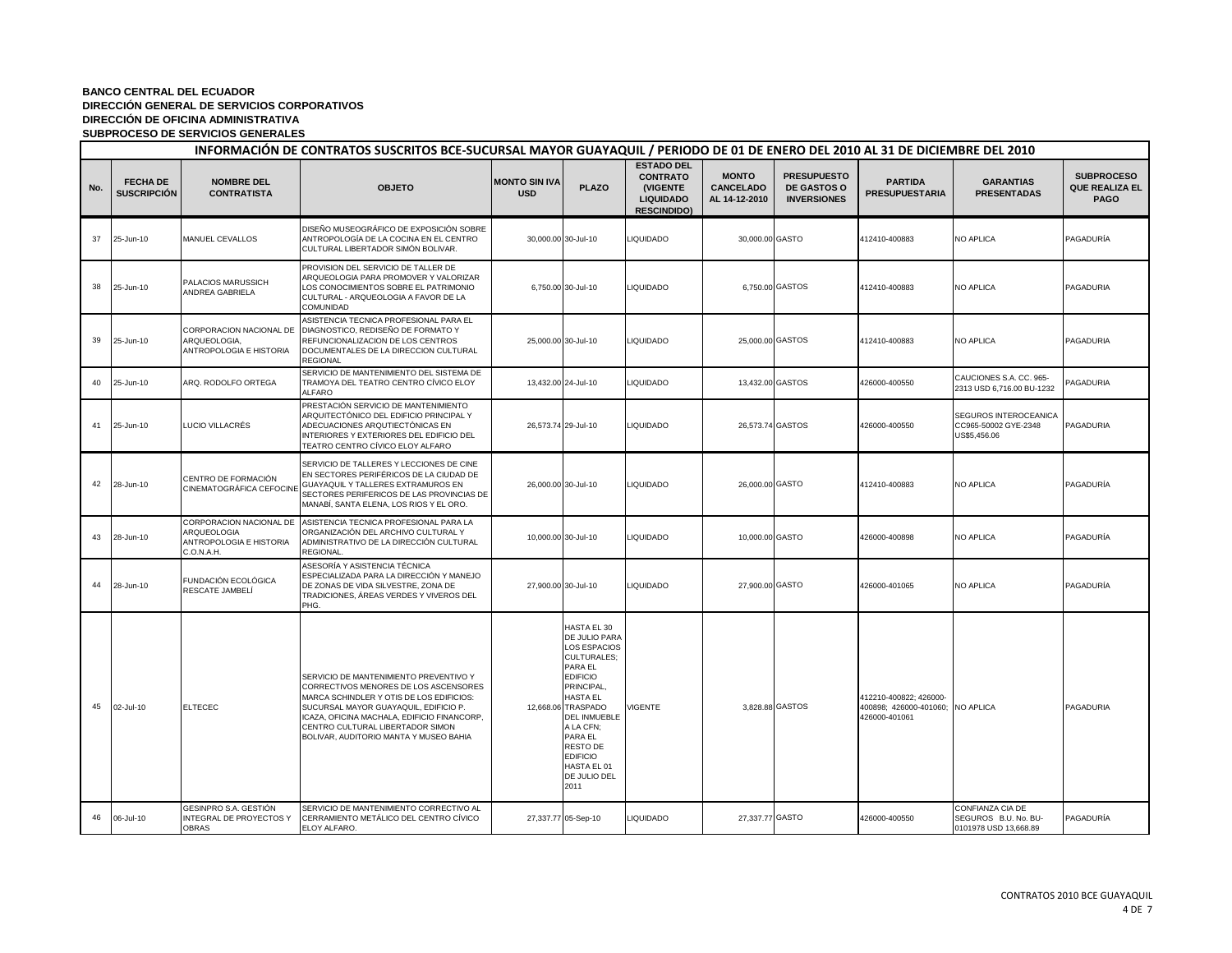|     | INFORMACIÓN DE CONTRATOS SUSCRITOS BCE-SUCURSAL MAYOR GUAYAQUIL / PERIODO DE 01 DE ENERO DEL 2010 AL 31 DE DICIEMBRE DEL 2010 |                                                                                 |                                                                                                                                                                                                                                                                                                   |                                    |                                                                                                                                                                                                                                                                                            |                                                                                            |                                                   |                                                                |                                                                             |                                                                   |                                                    |  |
|-----|-------------------------------------------------------------------------------------------------------------------------------|---------------------------------------------------------------------------------|---------------------------------------------------------------------------------------------------------------------------------------------------------------------------------------------------------------------------------------------------------------------------------------------------|------------------------------------|--------------------------------------------------------------------------------------------------------------------------------------------------------------------------------------------------------------------------------------------------------------------------------------------|--------------------------------------------------------------------------------------------|---------------------------------------------------|----------------------------------------------------------------|-----------------------------------------------------------------------------|-------------------------------------------------------------------|----------------------------------------------------|--|
| No. | <b>FECHA DE</b><br><b>SUSCRIPCIÓN</b>                                                                                         | <b>NOMBRE DEL</b><br><b>CONTRATISTA</b>                                         | <b>OBJETO</b>                                                                                                                                                                                                                                                                                     | <b>MONTO SIN IVA</b><br><b>USD</b> | <b>PLAZO</b>                                                                                                                                                                                                                                                                               | <b>ESTADO DEL</b><br><b>CONTRATO</b><br>(VIGENTE<br><b>LIQUIDADO</b><br><b>RESCINDIDO)</b> | <b>MONTO</b><br><b>CANCELADO</b><br>AL 14-12-2010 | <b>PRESUPUESTO</b><br><b>DE GASTOS O</b><br><b>INVERSIONES</b> | <b>PARTIDA</b><br><b>PRESUPUESTARIA</b>                                     | <b>GARANTIAS</b><br><b>PRESENTADAS</b>                            | <b>SUBPROCESO</b><br><b>QUE REALIZA EL</b><br>PAGO |  |
| 37  | 25-Jun-10                                                                                                                     | MANUEL CEVALLOS                                                                 | DISEÑO MUSEOGRÁFICO DE EXPOSICIÓN SOBRE<br>ANTROPOLOGÍA DE LA COCINA EN EL CENTRO<br>CULTURAL LIBERTADOR SIMÓN BOLIVAR.                                                                                                                                                                           |                                    | 30,000.00 30-Jul-10                                                                                                                                                                                                                                                                        | <b>LIQUIDADO</b>                                                                           | 30,000.00 GASTO                                   |                                                                | 412410-400883                                                               | NO APLICA                                                         | PAGADURÍA                                          |  |
| 38  | 25-Jun-10                                                                                                                     | PALACIOS MARUSSICH<br>ANDREA GABRIELA                                           | PROVISION DEL SERVICIO DE TALLER DE<br>ARQUEOLOGIA PARA PROMOVER Y VALORIZAR<br>LOS CONOCIMIENTOS SOBRE EL PATRIMONIO<br>CULTURAL - ARQUEOLOGIA A FAVOR DE LA<br>COMUNIDAD                                                                                                                        |                                    | 6,750.00 30-Jul-10                                                                                                                                                                                                                                                                         | <b>LIQUIDADO</b>                                                                           |                                                   | 6,750.00 GASTOS                                                | 412410-400883                                                               | <b>NO APLICA</b>                                                  | PAGADURIA                                          |  |
| 39  | 25-Jun-10                                                                                                                     | CORPORACION NACIONAL DE<br>ARQUEOLOGIA,<br>ANTROPOLOGIA E HISTORIA              | ASISTENCIA TECNICA PROFESIONAL PARA EL<br>DIAGNOSTICO, REDISEÑO DE FORMATO Y<br>REFUNCIONALIZACION DE LOS CENTROS<br>DOCUMENTALES DE LA DIRECCION CULTURAL<br><b>REGIONAL</b>                                                                                                                     |                                    | 25,000.00 30-Jul-10                                                                                                                                                                                                                                                                        | <b>LIQUIDADO</b>                                                                           | 25,000.00 GASTOS                                  |                                                                | 412410-400883                                                               | NO APLICA                                                         | PAGADURIA                                          |  |
| 40  | 25-Jun-10                                                                                                                     | ARQ. RODOLFO ORTEGA                                                             | SERVICIO DE MANTENIMIENTO DEL SISTEMA DE<br>TRAMOYA DEL TEATRO CENTRO CÍVICO ELOY<br><b>ALFARO</b>                                                                                                                                                                                                |                                    | 13,432.00 24-Jul-10                                                                                                                                                                                                                                                                        | <b>LIQUIDADO</b>                                                                           | 13,432.00 GASTOS                                  |                                                                | 426000-400550                                                               | CAUCIONES S.A. CC. 965-<br>2313 USD 6,716.00 BU-1232              | PAGADURIA                                          |  |
| 41  | 25-Jun-10                                                                                                                     | LUCIO VILLACRÉS                                                                 | PRESTACIÓN SERVICIO DE MANTENIMIENTO<br>ARQUITECTÓNICO DEL EDIFICIO PRINCIPAL Y<br>ADECUACIONES ARQUTIECTÓNICAS EN<br>INTERIORES Y EXTERIORES DEL EDIFICIO DEL<br>TEATRO CENTRO CÍVICO ELOY ALFARO                                                                                                | 26,573.74 29-Jul-10                |                                                                                                                                                                                                                                                                                            | <b>LIQUIDADO</b>                                                                           | 26.573.74 GASTOS                                  |                                                                | 426000-400550                                                               | SEGUROS INTEROCEANICA<br>CC965-50002 GYE-2348<br>US\$5,456.06     | PAGADURIA                                          |  |
| 42  | 28-Jun-10                                                                                                                     | CENTRO DE FORMACIÓN<br>CINEMATOGRÁFICA CEFOCINE                                 | SERVICIO DE TALLERES Y LECCIONES DE CINE<br>EN SECTORES PERIFÉRICOS DE LA CIUDAD DE<br>GUAYAQUIL Y TALLERES EXTRAMUROS EN<br>SECTORES PERIFERICOS DE LAS PROVINCIAS DE<br>MANABÍ, SANTA ELENA, LOS RIOS Y EL ORO.                                                                                 | 26,000.00 30-Jul-10                |                                                                                                                                                                                                                                                                                            | <b>LIQUIDADO</b>                                                                           | 26,000.00 GASTO                                   |                                                                | 412410-400883                                                               | <b>NO APLICA</b>                                                  | PAGADURÍA                                          |  |
| 43  | 28-Jun-10                                                                                                                     | CORPORACION NACIONAL DE<br>ARQUEOLOGIA<br>ANTROPOLOGIA E HISTORIA<br>C.O.N.A.H. | ASISTENCIA TECNICA PROFESIONAL PARA LA<br>ORGANIZACIÓN DEL ARCHIVO CULTURAL Y<br>ADMINISTRATIVO DE LA DIRECCIÓN CULTURAL<br>REGIONAL.                                                                                                                                                             |                                    | 10,000.00 30-Jul-10                                                                                                                                                                                                                                                                        | <b>LIQUIDADO</b>                                                                           | 10,000.00 GASTO                                   |                                                                | 426000-400898                                                               | <b>NO APLICA</b>                                                  | PAGADURÍA                                          |  |
| 44  | 28-Jun-10                                                                                                                     | FUNDACIÓN ECOLÓGICA<br>RESCATE JAMBELÍ                                          | ASESORÍA Y ASISTENCIA TÉCNICA<br>ESPECIALIZADA PARA LA DIRECCIÓN Y MANEJO<br>DE ZONAS DE VIDA SILVESTRE, ZONA DE<br>TRADICIONES, ÁREAS VERDES Y VIVEROS DEL<br>PHG.                                                                                                                               | 27,900.00 30-Jul-10                |                                                                                                                                                                                                                                                                                            | <b>LIQUIDADO</b>                                                                           | 27,900.00 GASTO                                   |                                                                | 426000-401065                                                               | <b>NO APLICA</b>                                                  | PAGADURÍA                                          |  |
| 45  | 02-Jul-10                                                                                                                     | <b>ELTECEC</b>                                                                  | SERVICIO DE MANTENIMIENTO PREVENTIVO Y<br>CORRECTIVOS MENORES DE LOS ASCENSORES<br>MARCA SCHINDLER Y OTIS DE LOS EDIFICIOS:<br>SUCURSAL MAYOR GUAYAQUIL, EDIFICIO P.<br>ICAZA, OFICINA MACHALA, EDIFICIO FINANCORP,<br>CENTRO CULTURAL LIBERTADOR SIMON<br>BOLIVAR, AUDITORIO MANTA Y MUSEO BAHIA |                                    | HASTA EL 30<br>DE JULIO PARA<br><b>LOS ESPACIOS</b><br><b>CULTURALES:</b><br>PARA EL<br><b>EDIFICIO</b><br>PRINCIPAL,<br><b>HASTA EL</b><br>12,668.06 TRASPADO<br><b>DEL INMUEBLE</b><br>A LA CFN;<br>PARA EL<br><b>RESTO DE</b><br><b>EDIFICIO</b><br>HASTA EL 01<br>DE JULIO DEL<br>2011 | /IGENTE                                                                                    |                                                   | 3,828.88 GASTOS                                                | 412210-400822; 426000-<br>400898; 426000-401060; NO APLICA<br>426000-401061 |                                                                   | PAGADURIA                                          |  |
| 46  | 06-Jul-10                                                                                                                     | GESINPRO S.A. GESTIÓN<br>INTEGRAL DE PROYECTOS Y<br>OBRAS                       | SERVICIO DE MANTENIMIENTO CORRECTIVO AL<br>CERRAMIENTO METÁLICO DEL CENTRO CÍVICO<br>ELOY ALFARO.                                                                                                                                                                                                 |                                    | 27,337.77 05-Sep-10                                                                                                                                                                                                                                                                        | <b>LIQUIDADO</b>                                                                           | 27,337.77 GASTO                                   |                                                                | 426000-400550                                                               | CONFIANZA CIA DE<br>SEGUROS B.U. No. BU-<br>0101978 USD 13,668.89 | PAGADURÍA                                          |  |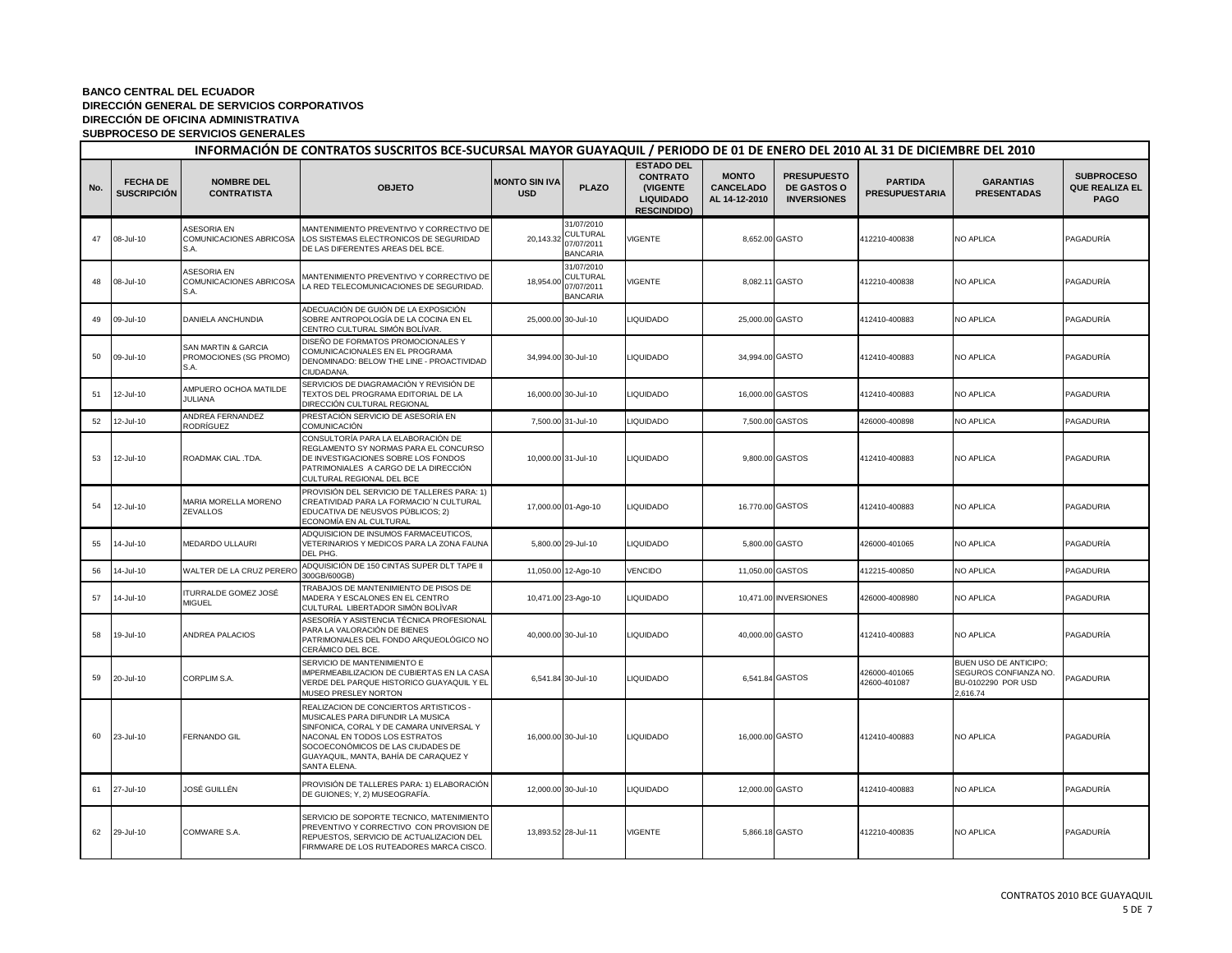|     | INFORMACIÓN DE CONTRATOS SUSCRITOS BCE-SUCURSAL MAYOR GUAYAQUIL / PERIODO DE 01 DE ENERO DEL 2010 AL 31 DE DICIEMBRE DEL 2010 |                                                                  |                                                                                                                                                                                                                                                        |                                    |                                                                |                                                                                            |                                                   |                                                                |                                         |                                                                                  |                                                           |  |
|-----|-------------------------------------------------------------------------------------------------------------------------------|------------------------------------------------------------------|--------------------------------------------------------------------------------------------------------------------------------------------------------------------------------------------------------------------------------------------------------|------------------------------------|----------------------------------------------------------------|--------------------------------------------------------------------------------------------|---------------------------------------------------|----------------------------------------------------------------|-----------------------------------------|----------------------------------------------------------------------------------|-----------------------------------------------------------|--|
| No. | <b>FECHA DE</b><br><b>SUSCRIPCIÓN</b>                                                                                         | <b>NOMBRE DEL</b><br><b>CONTRATISTA</b>                          | <b>OBJETO</b>                                                                                                                                                                                                                                          | <b>MONTO SIN IVA</b><br><b>USD</b> | <b>PLAZO</b>                                                   | <b>ESTADO DEL</b><br><b>CONTRATO</b><br>(VIGENTE<br><b>LIQUIDADO</b><br><b>RESCINDIDO)</b> | <b>MONTO</b><br><b>CANCELADO</b><br>AL 14-12-2010 | <b>PRESUPUESTO</b><br><b>DE GASTOS O</b><br><b>INVERSIONES</b> | <b>PARTIDA</b><br><b>PRESUPUESTARIA</b> | <b>GARANTIAS</b><br><b>PRESENTADAS</b>                                           | <b>SUBPROCESO</b><br><b>QUE REALIZA EL</b><br><b>PAGO</b> |  |
| 47  | 08-Jul-10                                                                                                                     | <b>ASESORIA EN</b><br>COMUNICACIONES ABRICOSA<br>S.A.            | MANTENIMIENTO PREVENTIVO Y CORRECTIVO DE<br>LOS SISTEMAS ELECTRONICOS DE SEGURIDAD<br>DE LAS DIFERENTES AREAS DEL BCE.                                                                                                                                 | 20,143.32                          | 31/07/2010<br><b>CULTURAL</b><br>07/07/2011<br><b>BANCARIA</b> | <b>VIGENTE</b>                                                                             |                                                   | 8,652.00 GASTO                                                 | 412210-400838                           | <b>NO APLICA</b>                                                                 | PAGADURÍA                                                 |  |
| 48  | 08-Jul-10                                                                                                                     | <b>ASESORIA EN</b><br>COMUNICACIONES ABRICOSA<br>S.A.            | MANTENIMIENTO PREVENTIVO Y CORRECTIVO DE<br>LA RED TELECOMUNICACIONES DE SEGURIDAD.                                                                                                                                                                    | 18,954.00                          | 31/07/2010<br>CULTURAL<br>07/07/2011<br><b>BANCARIA</b>        | VIGENTE                                                                                    |                                                   | 8,082.11 GASTO                                                 | 412210-400838                           | NO APLICA                                                                        | PAGADURÍA                                                 |  |
| 49  | 09-Jul-10                                                                                                                     | DANIELA ANCHUNDIA                                                | ADECUACIÓN DE GUIÓN DE LA EXPOSICIÓN<br>SOBRE ANTROPOLOGÍA DE LA COCINA EN EL<br>CENTRO CULTURAL SIMÓN BOLÍVAR                                                                                                                                         |                                    | 25,000.00 30-Jul-10                                            | <b>LIQUIDADO</b>                                                                           | 25,000.00 GASTO                                   |                                                                | 412410-400883                           | NO APLICA                                                                        | PAGADURÍA                                                 |  |
| 50  | 09-Jul-10                                                                                                                     | <b>SAN MARTIN &amp; GARCIA</b><br>PROMOCIONES (SG PROMO)<br>S.A. | DISEÑO DE FORMATOS PROMOCIONALES Y<br>COMUNICACIONALES EN EL PROGRAMA<br>DENOMINADO: BELOW THE LINE - PROACTIVIDAD<br>CIUDADANA.                                                                                                                       |                                    | 34,994.00 30-Jul-10                                            | <b>LIQUIDADO</b>                                                                           | 34,994.00 GASTO                                   |                                                                | 412410-400883                           | <b>NO APLICA</b>                                                                 | PAGADURÍA                                                 |  |
| 51  | 12-Jul-10                                                                                                                     | AMPUERO OCHOA MATILDE<br>JULIANA                                 | SERVICIOS DE DIAGRAMACIÓN Y REVISIÓN DE<br>TEXTOS DEL PROGRAMA EDITORIAL DE LA<br>DIRECCIÓN CULTURAL REGIONAL                                                                                                                                          |                                    | 16,000.00 30-Jul-10                                            | <b>IQUIDADO</b>                                                                            |                                                   | 16,000,00 GASTOS                                               | 412410-400883                           | NO APLICA                                                                        | PAGADURIA                                                 |  |
| 52  | 12-Jul-10                                                                                                                     | ANDREA FERNANDEZ<br>RODRÍGUEZ                                    | PRESTACIÓN SERVICIO DE ASESORÍA EN<br>COMUNICACIÓN                                                                                                                                                                                                     |                                    | 7,500.00 31-Jul-10                                             | <b>IQUIDADO</b>                                                                            |                                                   | 7,500.00 GASTOS                                                | 426000-400898                           | NO APLICA                                                                        | PAGADURIA                                                 |  |
| 53  | 12-Jul-10                                                                                                                     | ROADMAK CIAL .TDA.                                               | CONSULTORÍA PARA LA ELABORACIÓN DE<br>REGLAMENTO SY NORMAS PARA EL CONCURSO<br>DE INVESTIGACIONES SOBRE LOS FONDOS<br>PATRIMONIALES A CARGO DE LA DIRECCIÓN<br>CULTURAL REGIONAL DEL BCE                                                               |                                    | 10,000.00 31-Jul-10                                            | <b>LIQUIDADO</b>                                                                           |                                                   | 9,800.00 GASTOS                                                | 412410-400883                           | <b>NO APLICA</b>                                                                 | PAGADURIA                                                 |  |
| 54  | 12-Jul-10                                                                                                                     | <b>MARIA MORELLA MORENO</b><br>ZEVALLOS                          | PROVISIÓN DEL SERVICIO DE TALLERES PARA: 1)<br>CREATIVIDAD PARA LA FORMACIO'N CULTURAL<br>EDUCATIVA DE NEUSVOS PÚBLICOS; 2)<br>ECONOMÍA EN AL CULTURAL                                                                                                 |                                    | 17,000.00 01-Ago-10                                            | <b>LIQUIDADO</b>                                                                           |                                                   | 16.770.00 GASTOS                                               | 412410-400883                           | <b>NO APLICA</b>                                                                 | <b>PAGADURIA</b>                                          |  |
| 55  | 14-Jul-10                                                                                                                     | MEDARDO ULLAURI                                                  | ADQUISICION DE INSUMOS FARMACEUTICOS,<br>VETERINARIOS Y MEDICOS PARA LA ZONA FAUNA<br>DEL PHG.                                                                                                                                                         |                                    | 5,800.00 29-Jul-10                                             | <b>LIQUIDADO</b>                                                                           |                                                   | 5,800.00 GASTO                                                 | 426000-401065                           | NO APLICA                                                                        | PAGADURÍA                                                 |  |
| 56  | 14-Jul-10                                                                                                                     | WALTER DE LA CRUZ PERERO                                         | ADQUISICIÓN DE 150 CINTAS SUPER DLT TAPE II<br>300GB/600GB)                                                                                                                                                                                            |                                    | 11,050.00 12-Ago-10                                            | VENCIDO                                                                                    | 11,050.00 GASTOS                                  |                                                                | 412215-400850                           | NO APLICA                                                                        | PAGADURIA                                                 |  |
| 57  | 14-Jul-10                                                                                                                     | TURRALDE GOMEZ JOSÉ<br><b>MIGUEL</b>                             | TRABAJOS DE MANTENIMIENTO DE PISOS DE<br>MADERA Y ESCALONES EN EL CENTRO<br>CULTURAL LIBERTADOR SIMÒN BOLÌVAR                                                                                                                                          |                                    | 10,471.00 23-Ago-10                                            | LIQUIDADO                                                                                  |                                                   | 10,471.00 INVERSIONES                                          | 426000-4008980                          | NO APLICA                                                                        | PAGADURIA                                                 |  |
| 58  | 19-Jul-10                                                                                                                     | ANDREA PALACIOS                                                  | ASESORÍA Y ASISTENCIA TÉCNICA PROFESIONAL<br>PARA LA VALORACIÓN DE BIENES<br>PATRIMONIALES DEL FONDO ARQUEOLÓGICO NO<br>CERÁMICO DEL BCE.                                                                                                              |                                    | 40,000.00 30-Jul-10                                            | <b>LIQUIDADO</b>                                                                           | 40,000.00 GASTO                                   |                                                                | 412410-400883                           | <b>NO APLICA</b>                                                                 | PAGADURÍA                                                 |  |
| 59  | 20-Jul-10                                                                                                                     | CORPLIM S.A.                                                     | SERVICIO DE MANTENIMIENTO E<br>IMPERMEABILIZACION DE CUBIERTAS EN LA CASA<br>VERDE DEL PARQUE HISTORICO GUAYAQUIL Y EL<br>MUSEO PRESLEY NORTON                                                                                                         |                                    | 6,541.84 30-Jul-10                                             | <b>LIQUIDADO</b>                                                                           |                                                   | 6,541.84 GASTOS                                                | 426000-401065<br>42600-401087           | BUEN USO DE ANTICIPO;<br>SEGUROS CONFIANZA NO.<br>BU-0102290 POR USD<br>2,616.74 | PAGADURIA                                                 |  |
| 60  | 23-Jul-10                                                                                                                     | FERNANDO GIL                                                     | REALIZACION DE CONCIERTOS ARTISTICOS -<br>MUSICALES PARA DIFUNDIR LA MUSICA<br>SINFONICA, CORAL Y DE CAMARA UNIVERSAL Y<br>NACONAL EN TODOS LOS ESTRATOS<br>SOCOECONÓMICOS DE LAS CIUDADES DE<br>GUAYAQUIL, MANTA, BAHÍA DE CARAQUEZ Y<br>SANTA ELENA. |                                    | 16,000.00 30-Jul-10                                            | <b>LIQUIDADO</b>                                                                           | 16,000.00 GASTO                                   |                                                                | 412410-400883                           | <b>NO APLICA</b>                                                                 | PAGADURÍA                                                 |  |
| 61  | 27-Jul-10                                                                                                                     | JOSÉ GUILLÉN                                                     | PROVISIÓN DE TALLERES PARA: 1) ELABORACIÓN<br>DE GUIONES; Y, 2) MUSEOGRAFÍA.                                                                                                                                                                           |                                    | 12,000.00 30-Jul-10                                            | <b>IQUIDADO</b>                                                                            | 12,000.00 GASTO                                   |                                                                | 412410-400883                           | NO APLICA                                                                        | PAGADURÍA                                                 |  |
| 62  | 29-Jul-10                                                                                                                     | COMWARE S.A.                                                     | SERVICIO DE SOPORTE TECNICO, MATENIMIENTO<br>PREVENTIVO Y CORRECTIVO CON PROVISION DE<br>REPUESTOS, SERVICIO DE ACTUALIZACION DEL<br>FIRMWARE DE LOS RUTEADORES MARCA CISCO.                                                                           |                                    | 13,893.52 28-Jul-11                                            | VIGENTE                                                                                    |                                                   | 5,866.18 GASTO                                                 | 412210-400835                           | NO APLICA                                                                        | PAGADURÍA                                                 |  |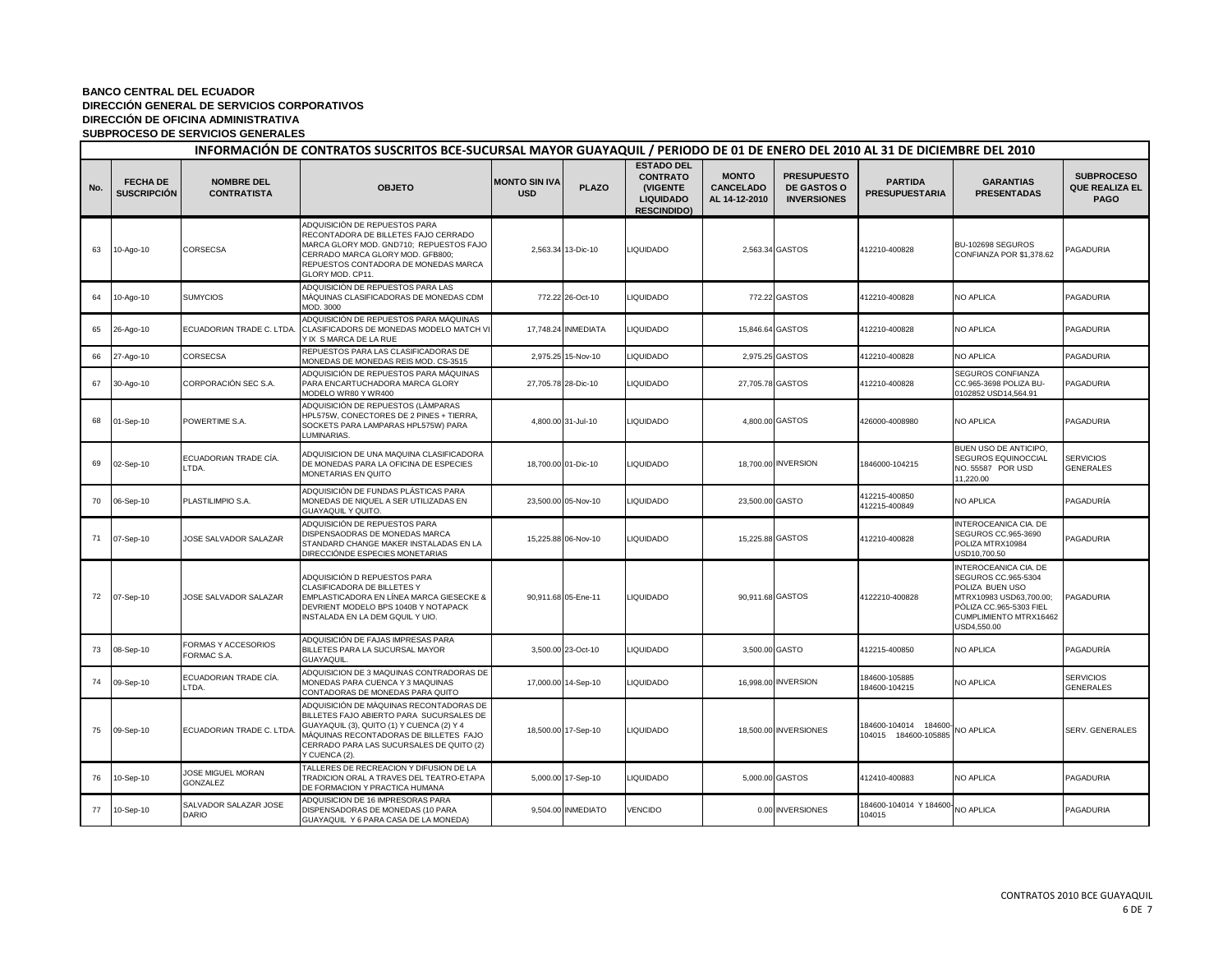|     | INFORMACIÓN DE CONTRATOS SUSCRITOS BCE-SUCURSAL MAYOR GUAYAQUIL / PERIODO DE 01 DE ENERO DEL 2010 AL 31 DE DICIEMBRE DEL 2010 |                                         |                                                                                                                                                                                                                                         |                                    |                     |                                                                                            |                                                   |                                                                |                                               |                                                                                                                                                                |                                                           |  |
|-----|-------------------------------------------------------------------------------------------------------------------------------|-----------------------------------------|-----------------------------------------------------------------------------------------------------------------------------------------------------------------------------------------------------------------------------------------|------------------------------------|---------------------|--------------------------------------------------------------------------------------------|---------------------------------------------------|----------------------------------------------------------------|-----------------------------------------------|----------------------------------------------------------------------------------------------------------------------------------------------------------------|-----------------------------------------------------------|--|
| No. | <b>FECHA DE</b><br><b>SUSCRIPCIÓN</b>                                                                                         | <b>NOMBRE DEL</b><br><b>CONTRATISTA</b> | <b>OBJETO</b>                                                                                                                                                                                                                           | <b>MONTO SIN IVA</b><br><b>USD</b> | <b>PLAZO</b>        | <b>ESTADO DEL</b><br><b>CONTRATO</b><br>(VIGENTE<br><b>LIQUIDADO</b><br><b>RESCINDIDO)</b> | <b>MONTO</b><br><b>CANCELADO</b><br>AL 14-12-2010 | <b>PRESUPUESTO</b><br><b>DE GASTOS O</b><br><b>INVERSIONES</b> | <b>PARTIDA</b><br><b>PRESUPUESTARIA</b>       | <b>GARANTIAS</b><br><b>PRESENTADAS</b>                                                                                                                         | <b>SUBPROCESO</b><br><b>QUE REALIZA EL</b><br><b>PAGO</b> |  |
| 63  | 10-Ago-10                                                                                                                     | CORSECSA                                | ADQUISICIÓN DE REPUESTOS PARA<br>RECONTADORA DE BILLETES FAJO CERRADO<br>MARCA GLORY MOD. GND710; REPUESTOS FAJO<br>CERRADO MARCA GLORY MOD. GFB800;<br>REPUESTOS CONTADORA DE MONEDAS MARCA<br>GLORY MOD. CP11.                        |                                    | 2,563.34 13-Dic-10  | <b>LIQUIDADO</b>                                                                           |                                                   | 2,563.34 GASTOS                                                | 412210-400828                                 | BU-102698 SEGUROS<br>CONFIANZA POR \$1,378.62                                                                                                                  | PAGADURIA                                                 |  |
| 64  | 10-Ago-10                                                                                                                     | <b>SUMYCIOS</b>                         | ADQUISICIÓN DE REPUESTOS PARA LAS<br>MÀQUINAS CLASIFICADORAS DE MONEDAS CDM<br>MOD. 3000                                                                                                                                                |                                    | 772.22 26-Oct-10    | <b>LIQUIDADO</b>                                                                           |                                                   | 772.22 GASTOS                                                  | 412210-400828                                 | NO APLICA                                                                                                                                                      | PAGADURIA                                                 |  |
| 65  | 26-Ago-10                                                                                                                     | ECUADORIAN TRADE C. LTDA                | ADQUISICIÓN DE REPUESTOS PARA MÁQUINAS<br>CLASIFICADORS DE MONEDAS MODELO MATCH VI<br>Y IX S MARCA DE LA RUE                                                                                                                            |                                    | 17,748.24 INMEDIATA | <b>LIQUIDADO</b>                                                                           | 15,846.64 GASTOS                                  |                                                                | 412210-400828                                 | NO APLICA                                                                                                                                                      | PAGADURIA                                                 |  |
| 66  | 27-Ago-10                                                                                                                     | CORSECSA                                | REPUESTOS PARA LAS CLASIFICADORAS DE<br>MONEDAS DE MONEDAS REIS MOD. CS-3515                                                                                                                                                            |                                    | 2,975.25 15-Nov-10  | <b>IQUIDADO</b>                                                                            |                                                   | 2,975.25 GASTOS                                                | 412210-400828                                 | NO APLICA                                                                                                                                                      | PAGADURIA                                                 |  |
| 67  | 30-Ago-10                                                                                                                     | CORPORACIÓN SEC S.A.                    | ADQUISICIÓN DE REPUESTOS PARA MÁQUINAS<br>PARA ENCARTUCHADORA MARCA GLORY<br>MODELO WR80 Y WR400                                                                                                                                        |                                    | 27,705.78 28-Dic-10 | <b>IQUIDADO</b>                                                                            | 27,705.78 GASTOS                                  |                                                                | 412210-400828                                 | SEGUROS CONFIANZA<br>CC.965-3698 POLIZA BU-<br>0102852 USD14,564.91                                                                                            | PAGADURIA                                                 |  |
| 68  | 01-Sep-10                                                                                                                     | POWERTIME S.A.                          | ADQUISICIÓN DE REPUESTOS (LÀMPARAS<br>HPL575W, CONECTORES DE 2 PINES + TIERRA,<br>SOCKETS PARA LAMPARAS HPL575W) PARA<br>LUMINARIAS.                                                                                                    |                                    | 4,800.00 31-Jul-10  | <b>LIQUIDADO</b>                                                                           |                                                   | 4,800.00 GASTOS                                                | 426000-4008980                                | NO APLICA                                                                                                                                                      | PAGADURIA                                                 |  |
| 69  | 02-Sep-10                                                                                                                     | ECUADORIAN TRADE CÍA.<br>LTDA.          | ADQUISICION DE UNA MAQUINA CLASIFICADORA<br>DE MONEDAS PARA LA OFICINA DE ESPECIES<br>MONETARIAS EN QUITO                                                                                                                               |                                    | 18,700.00 01-Dic-10 | <b>LIQUIDADO</b>                                                                           |                                                   | 18,700.00 INVERSION                                            | 1846000-104215                                | BUEN USO DE ANTICIPO,<br>SEGUROS EQUINOCCIAL<br>NO. 55587 POR USD<br>11,220.00                                                                                 | <b>SERVICIOS</b><br><b>GENERALES</b>                      |  |
| 70  | 06-Sep-10                                                                                                                     | PLASTILIMPIO S.A.                       | ADQUISICIÓN DE FUNDAS PLÁSTICAS PARA<br>MONEDAS DE NIQUEL A SER UTILIZADAS EN<br>GUAYAQUIL Y QUITO.                                                                                                                                     |                                    | 23,500.00 05-Nov-10 | <b>LIQUIDADO</b>                                                                           | 23,500.00 GASTO                                   |                                                                | 412215-400850<br>412215-400849                | NO APLICA                                                                                                                                                      | PAGADURÍA                                                 |  |
| 71  | 07-Sep-10                                                                                                                     | JOSE SALVADOR SALAZAR                   | ADQUISICIÓN DE REPUESTOS PARA<br>DISPENSAODRAS DE MONEDAS MARCA<br>STANDARD CHANGE MAKER INSTALADAS EN LA<br>DIRECCIÓNDE ESPECIES MONETARIAS                                                                                            |                                    | 15,225.88 06-Nov-10 | <b>LIQUIDADO</b>                                                                           | 15,225.88 GASTOS                                  |                                                                | 412210-400828                                 | INTEROCEANICA CIA. DE<br>SEGUROS CC.965-3690<br>POLIZA MTRX10984<br>USD10,700.50                                                                               | PAGADURIA                                                 |  |
| 72  | 07-Sep-10                                                                                                                     | JOSE SALVADOR SALAZAR                   | ADQUISICIÓN D REPUESTOS PARA<br>CLASIFICADORA DE BILLETES Y<br>EMPLASTICADORA EN LÍNEA MARCA GIESECKE &<br>DEVRIENT MODELO BPS 1040B Y NOTAPACK<br>INSTALADA EN LA DEM GQUIL Y UIO.                                                     |                                    | 90,911.68 05-Ene-11 | <b>LIQUIDADO</b>                                                                           | 90,911.68 GASTOS                                  |                                                                | 4122210-400828                                | INTEROCEANICA CIA. DE<br>SEGUROS CC.965-5304<br>POLIZA BUEN USO<br>MTRX10983 USD63,700.00;<br>PÓLIZA CC.965-5303 FIEL<br>CUMPLIMIENTO MTRX16462<br>USD4.550.00 | PAGADURIA                                                 |  |
| 73  | 08-Sep-10                                                                                                                     | FORMAS Y ACCESORIOS<br>FORMAC S.A.      | ADQUISICIÓN DE FAJAS IMPRESAS PARA<br>BILLETES PARA LA SUCURSAL MAYOR<br>GUAYAQUIL                                                                                                                                                      |                                    | 3,500.00 23-Oct-10  | <b>LIQUIDADO</b>                                                                           | 3,500.00 GASTO                                    |                                                                | 412215-400850                                 | NO APLICA                                                                                                                                                      | PAGADURÍA                                                 |  |
| 74  | 09-Sep-10                                                                                                                     | ECUADORIAN TRADE CÍA.<br>LTDA.          | ADQUISICION DE 3 MAQUINAS CONTRADORAS DE<br>MONEDAS PARA CUENCA Y 3 MAQUINAS<br>CONTADORAS DE MONEDAS PARA QUITO                                                                                                                        |                                    | 17,000.00 14-Sep-10 | <b>LIQUIDADO</b>                                                                           |                                                   | 16,998.00 INVERSION                                            | 184600-105885<br>184600-104215                | NO APLICA                                                                                                                                                      | <b>SERVICIOS</b><br><b>GENERALES</b>                      |  |
| 75  | 09-Sep-10                                                                                                                     | ECUADORIAN TRADE C. LTDA                | ADQUISICIÓN DE MÀQUINAS RECONTADORAS DE<br>BILLETES FAJO ABIERTO PARA SUCURSALES DE<br>GUAYAQUIL (3), QUITO (1) Y CUENCA (2) Y 4<br>MÀQUINAS RECONTADORAS DE BILLETES FAJO<br>CERRADO PARA LAS SUCURSALES DE QUITO (2)<br>Y CUENCA (2). |                                    | 18,500.00 17-Sep-10 | <b>IQUIDADO</b>                                                                            |                                                   | 18,500.00 INVERSIONES                                          | 184600-104014 184600-<br>104015 184600-105885 | NO APLICA                                                                                                                                                      | SERV. GENERALES                                           |  |
| 76  | 10-Sep-10                                                                                                                     | JOSE MIGUEL MORAN<br>GONZALEZ           | TALLERES DE RECREACION Y DIFUSION DE LA<br>TRADICION ORAL A TRAVES DEL TEATRO-ETAPA<br>DE FORMACION Y PRACTICA HUMANA                                                                                                                   |                                    | 5,000.00 17-Sep-10  | <b>LIQUIDADO</b>                                                                           |                                                   | 5,000.00 GASTOS                                                | 412410-400883                                 | NO APLICA                                                                                                                                                      | PAGADURIA                                                 |  |
| 77  | 10-Sep-10                                                                                                                     | SALVADOR SALAZAR JOSE<br>DARIO          | ADQUISICION DE 16 IMPRESORAS PARA<br>DISPENSADORAS DE MONEDAS (10 PARA<br>GUAYAQUIL Y 6 PARA CASA DE LA MONEDA)                                                                                                                         |                                    | 9,504.00 INMEDIATO  | <b>VENCIDO</b>                                                                             |                                                   | 0.00 INVERSIONES                                               | 184600-104014 Y 184600 NO APLICA<br>104015    |                                                                                                                                                                | PAGADURIA                                                 |  |